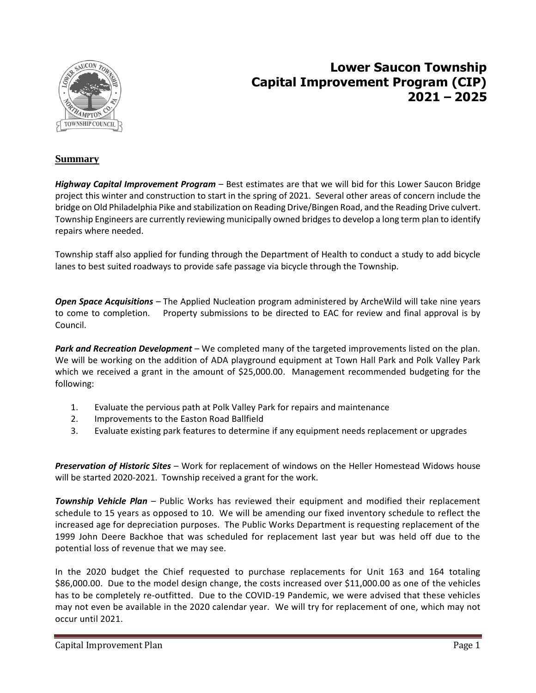

## **Lower Saucon Township Capital Improvement Program (CIP) 2021 – 2025**

## **Summary**

*Highway Capital Improvement Program* – Best estimates are that we will bid for this Lower Saucon Bridge project this winter and construction to start in the spring of 2021. Several other areas of concern include the bridge on Old Philadelphia Pike and stabilization on Reading Drive/Bingen Road, and the Reading Drive culvert. Township Engineers are currently reviewing municipally owned bridges to develop a long term plan to identify repairs where needed.

Township staff also applied for funding through the Department of Health to conduct a study to add bicycle lanes to best suited roadways to provide safe passage via bicycle through the Township.

*Open Space Acquisitions –* The Applied Nucleation program administered by ArcheWild will take nine years to come to completion. Property submissions to be directed to EAC for review and final approval is by Council.

*Park and Recreation Development* – We completed many of the targeted improvements listed on the plan. We will be working on the addition of ADA playground equipment at Town Hall Park and Polk Valley Park which we received a grant in the amount of \$25,000.00. Management recommended budgeting for the following:

- 1. Evaluate the pervious path at Polk Valley Park for repairs and maintenance
- 2. Improvements to the Easton Road Ballfield
- 3. Evaluate existing park features to determine if any equipment needs replacement or upgrades

*Preservation of Historic Sites* – Work for replacement of windows on the Heller Homestead Widows house will be started 2020-2021. Township received a grant for the work.

*Township Vehicle Plan* – Public Works has reviewed their equipment and modified their replacement schedule to 15 years as opposed to 10. We will be amending our fixed inventory schedule to reflect the increased age for depreciation purposes. The Public Works Department is requesting replacement of the 1999 John Deere Backhoe that was scheduled for replacement last year but was held off due to the potential loss of revenue that we may see.

In the 2020 budget the Chief requested to purchase replacements for Unit 163 and 164 totaling \$86,000.00. Due to the model design change, the costs increased over \$11,000.00 as one of the vehicles has to be completely re-outfitted. Due to the COVID-19 Pandemic, we were advised that these vehicles may not even be available in the 2020 calendar year. We will try for replacement of one, which may not occur until 2021.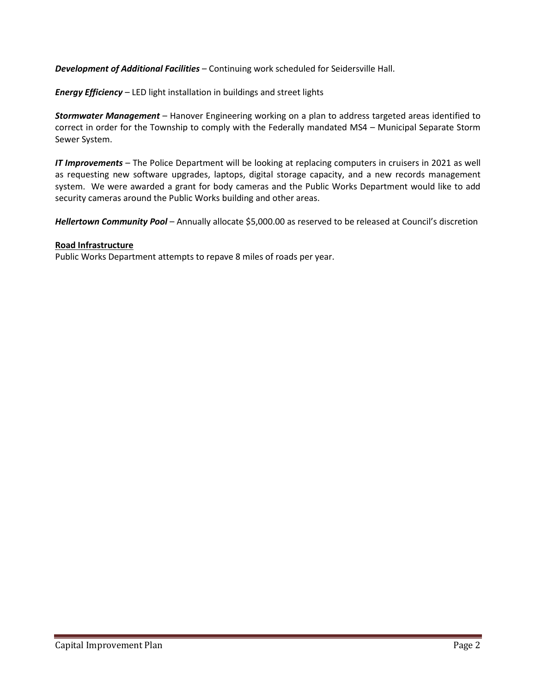*Development of Additional Facilities* – Continuing work scheduled for Seidersville Hall.

*Energy Efficiency* – LED light installation in buildings and street lights

*Stormwater Management* – Hanover Engineering working on a plan to address targeted areas identified to correct in order for the Township to comply with the Federally mandated MS4 – Municipal Separate Storm Sewer System.

*IT Improvements* – The Police Department will be looking at replacing computers in cruisers in 2021 as well as requesting new software upgrades, laptops, digital storage capacity, and a new records management system. We were awarded a grant for body cameras and the Public Works Department would like to add security cameras around the Public Works building and other areas.

*Hellertown Community Pool* – Annually allocate \$5,000.00 as reserved to be released at Council's discretion

## **Road Infrastructure**

Public Works Department attempts to repave 8 miles of roads per year.